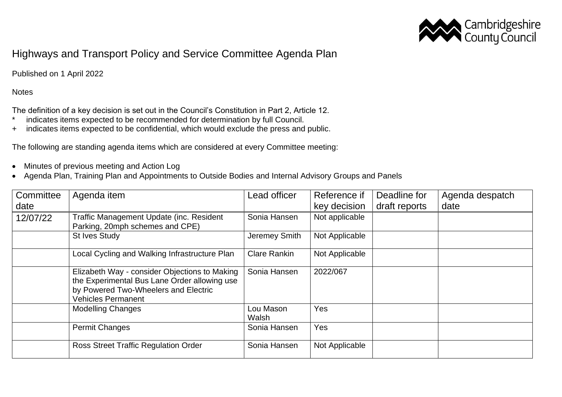

## Highways and Transport Policy and Service Committee Agenda Plan

Published on 1 April 2022

## **Notes**

The definition of a key decision is set out in the Council's Constitution in Part 2, Article 12.

- \* indicates items expected to be recommended for determination by full Council.
- + indicates items expected to be confidential, which would exclude the press and public.

The following are standing agenda items which are considered at every Committee meeting:

- Minutes of previous meeting and Action Log
- Agenda Plan, Training Plan and Appointments to Outside Bodies and Internal Advisory Groups and Panels

| Committee | Agenda item                                                                                                                                                        | Lead officer        | Reference if   | Deadline for  | Agenda despatch |
|-----------|--------------------------------------------------------------------------------------------------------------------------------------------------------------------|---------------------|----------------|---------------|-----------------|
| date      |                                                                                                                                                                    |                     | key decision   | draft reports | date            |
| 12/07/22  | Traffic Management Update (inc. Resident<br>Parking, 20mph schemes and CPE)                                                                                        | Sonia Hansen        | Not applicable |               |                 |
|           | <b>St Ives Study</b>                                                                                                                                               | Jeremey Smith       | Not Applicable |               |                 |
|           | Local Cycling and Walking Infrastructure Plan                                                                                                                      | <b>Clare Rankin</b> | Not Applicable |               |                 |
|           | Elizabeth Way - consider Objections to Making<br>the Experimental Bus Lane Order allowing use<br>by Powered Two-Wheelers and Electric<br><b>Vehicles Permanent</b> | Sonia Hansen        | 2022/067       |               |                 |
|           | <b>Modelling Changes</b>                                                                                                                                           | Lou Mason<br>Walsh  | Yes            |               |                 |
|           | <b>Permit Changes</b>                                                                                                                                              | Sonia Hansen        | Yes            |               |                 |
|           | <b>Ross Street Traffic Regulation Order</b>                                                                                                                        | Sonia Hansen        | Not Applicable |               |                 |